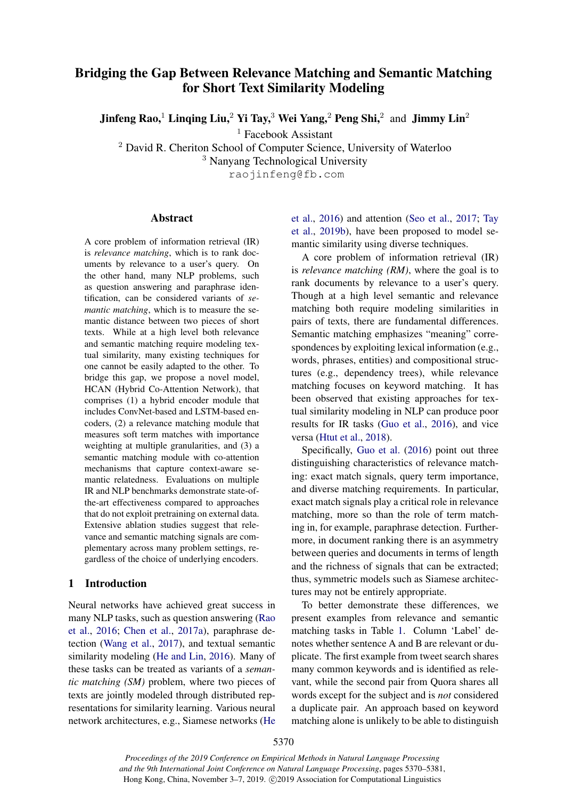# Bridging the Gap Between Relevance Matching and Semantic Matching for Short Text Similarity Modeling

Jinfeng Rao,<sup>1</sup> Linqing Liu,<sup>2</sup> Yi Tay,<sup>3</sup> Wei Yang,<sup>2</sup> Peng Shi,<sup>2</sup> and Jimmy Lin<sup>2</sup>

<sup>1</sup> Facebook Assistant

<sup>2</sup> David R. Cheriton School of Computer Science, University of Waterloo

<sup>3</sup> Nanyang Technological University

raojinfeng@fb.com

# Abstract

A core problem of information retrieval (IR) is *relevance matching*, which is to rank documents by relevance to a user's query. On the other hand, many NLP problems, such as question answering and paraphrase identification, can be considered variants of *semantic matching*, which is to measure the semantic distance between two pieces of short texts. While at a high level both relevance and semantic matching require modeling textual similarity, many existing techniques for one cannot be easily adapted to the other. To bridge this gap, we propose a novel model, HCAN (Hybrid Co-Attention Network), that comprises (1) a hybrid encoder module that includes ConvNet-based and LSTM-based encoders, (2) a relevance matching module that measures soft term matches with importance weighting at multiple granularities, and (3) a semantic matching module with co-attention mechanisms that capture context-aware semantic relatedness. Evaluations on multiple IR and NLP benchmarks demonstrate state-ofthe-art effectiveness compared to approaches that do not exploit pretraining on external data. Extensive ablation studies suggest that relevance and semantic matching signals are complementary across many problem settings, regardless of the choice of underlying encoders.

# 1 Introduction

Neural networks have achieved great success in many NLP tasks, such as question answering [\(Rao](#page-10-0) [et al.,](#page-10-0) [2016;](#page-10-0) [Chen et al.,](#page-9-0) [2017a\)](#page-9-0), paraphrase detection [\(Wang et al.,](#page-10-1) [2017\)](#page-10-1), and textual semantic similarity modeling [\(He and Lin,](#page-9-1) [2016\)](#page-9-1). Many of these tasks can be treated as variants of a *semantic matching (SM)* problem, where two pieces of texts are jointly modeled through distributed representations for similarity learning. Various neural network architectures, e.g., Siamese networks [\(He](#page-9-2) [et al.,](#page-9-2) [2016\)](#page-9-2) and attention [\(Seo et al.,](#page-10-2) [2017;](#page-10-2) [Tay](#page-10-3) [et al.,](#page-10-3) [2019b\)](#page-10-3), have been proposed to model semantic similarity using diverse techniques.

A core problem of information retrieval (IR) is *relevance matching (RM)*, where the goal is to rank documents by relevance to a user's query. Though at a high level semantic and relevance matching both require modeling similarities in pairs of texts, there are fundamental differences. Semantic matching emphasizes "meaning" correspondences by exploiting lexical information (e.g., words, phrases, entities) and compositional structures (e.g., dependency trees), while relevance matching focuses on keyword matching. It has been observed that existing approaches for textual similarity modeling in NLP can produce poor results for IR tasks [\(Guo et al.,](#page-9-3) [2016\)](#page-9-3), and vice versa [\(Htut et al.,](#page-9-4) [2018\)](#page-9-4).

Specifically, [Guo et al.](#page-9-3) [\(2016\)](#page-9-3) point out three distinguishing characteristics of relevance matching: exact match signals, query term importance, and diverse matching requirements. In particular, exact match signals play a critical role in relevance matching, more so than the role of term matching in, for example, paraphrase detection. Furthermore, in document ranking there is an asymmetry between queries and documents in terms of length and the richness of signals that can be extracted; thus, symmetric models such as Siamese architectures may not be entirely appropriate.

To better demonstrate these differences, we present examples from relevance and semantic matching tasks in Table [1.](#page-1-0) Column 'Label' denotes whether sentence A and B are relevant or duplicate. The first example from tweet search shares many common keywords and is identified as relevant, while the second pair from Quora shares all words except for the subject and is *not* considered a duplicate pair. An approach based on keyword matching alone is unlikely to be able to distinguish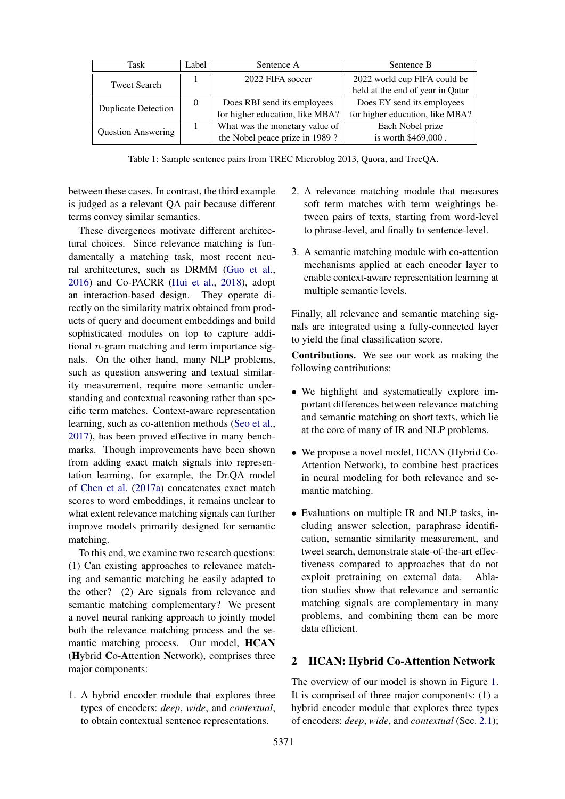<span id="page-1-0"></span>

| Task                       | Label    | Sentence A                      | Sentence B                       |
|----------------------------|----------|---------------------------------|----------------------------------|
| <b>Tweet Search</b>        |          | 2022 FIFA soccer                | 2022 world cup FIFA could be     |
|                            |          |                                 | held at the end of year in Qatar |
| <b>Duplicate Detection</b> | $\theta$ | Does RBI send its employees     | Does EY send its employees       |
|                            |          | for higher education, like MBA? | for higher education, like MBA?  |
| <b>Question Answering</b>  |          | What was the monetary value of  | Each Nobel prize                 |
|                            |          | the Nobel peace prize in 1989?  | is worth \$469,000.              |

Table 1: Sample sentence pairs from TREC Microblog 2013, Quora, and TrecQA.

between these cases. In contrast, the third example is judged as a relevant QA pair because different terms convey similar semantics.

These divergences motivate different architectural choices. Since relevance matching is fundamentally a matching task, most recent neural architectures, such as DRMM [\(Guo et al.,](#page-9-3) [2016\)](#page-9-3) and Co-PACRR [\(Hui et al.,](#page-9-5) [2018\)](#page-9-5), adopt an interaction-based design. They operate directly on the similarity matrix obtained from products of query and document embeddings and build sophisticated modules on top to capture additional  $n$ -gram matching and term importance signals. On the other hand, many NLP problems, such as question answering and textual similarity measurement, require more semantic understanding and contextual reasoning rather than specific term matches. Context-aware representation learning, such as co-attention methods [\(Seo et al.,](#page-10-2) [2017\)](#page-10-2), has been proved effective in many benchmarks. Though improvements have been shown from adding exact match signals into representation learning, for example, the Dr.QA model of [Chen et al.](#page-9-0) [\(2017a\)](#page-9-0) concatenates exact match scores to word embeddings, it remains unclear to what extent relevance matching signals can further improve models primarily designed for semantic matching.

To this end, we examine two research questions: (1) Can existing approaches to relevance matching and semantic matching be easily adapted to the other? (2) Are signals from relevance and semantic matching complementary? We present a novel neural ranking approach to jointly model both the relevance matching process and the semantic matching process. Our model, HCAN (Hybrid Co-Attention Network), comprises three major components:

1. A hybrid encoder module that explores three types of encoders: *deep*, *wide*, and *contextual*, to obtain contextual sentence representations.

- 2. A relevance matching module that measures soft term matches with term weightings between pairs of texts, starting from word-level to phrase-level, and finally to sentence-level.
- 3. A semantic matching module with co-attention mechanisms applied at each encoder layer to enable context-aware representation learning at multiple semantic levels.

Finally, all relevance and semantic matching signals are integrated using a fully-connected layer to yield the final classification score.

Contributions. We see our work as making the following contributions:

- We highlight and systematically explore important differences between relevance matching and semantic matching on short texts, which lie at the core of many of IR and NLP problems.
- We propose a novel model, HCAN (Hybrid Co-Attention Network), to combine best practices in neural modeling for both relevance and semantic matching.
- Evaluations on multiple IR and NLP tasks, including answer selection, paraphrase identification, semantic similarity measurement, and tweet search, demonstrate state-of-the-art effectiveness compared to approaches that do not exploit pretraining on external data. Ablation studies show that relevance and semantic matching signals are complementary in many problems, and combining them can be more data efficient.

# 2 HCAN: Hybrid Co-Attention Network

The overview of our model is shown in Figure [1.](#page-2-0) It is comprised of three major components: (1) a hybrid encoder module that explores three types of encoders: *deep*, *wide*, and *contextual* (Sec. [2.1\)](#page-2-1);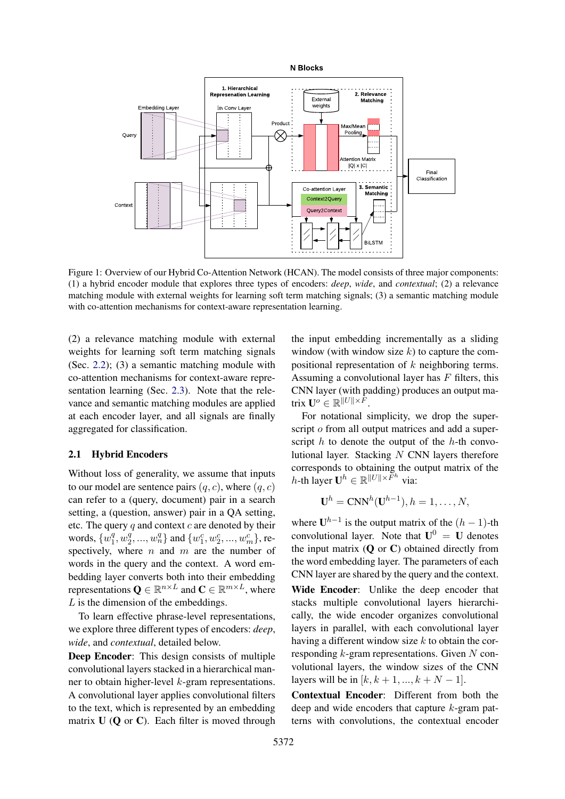<span id="page-2-0"></span>

Figure 1: Overview of our Hybrid Co-Attention Network (HCAN). The model consists of three major components: (1) a hybrid encoder module that explores three types of encoders: *deep*, *wide*, and *contextual*; (2) a relevance matching module with external weights for learning soft term matching signals; (3) a semantic matching module with co-attention mechanisms for context-aware representation learning.

(2) a relevance matching module with external weights for learning soft term matching signals (Sec. [2.2\)](#page-3-0); (3) a semantic matching module with co-attention mechanisms for context-aware representation learning (Sec. [2.3\)](#page-3-1). Note that the relevance and semantic matching modules are applied at each encoder layer, and all signals are finally aggregated for classification.

# <span id="page-2-1"></span>2.1 Hybrid Encoders

Without loss of generality, we assume that inputs to our model are sentence pairs  $(q, c)$ , where  $(q, c)$ can refer to a (query, document) pair in a search setting, a (question, answer) pair in a QA setting, etc. The query  $q$  and context  $c$  are denoted by their words,  $\{w_1^q\}$  $\frac{q}{1}, w_2^q$  $\{a_2^q, ..., w_n^q\}$  and  $\{w_1^c, w_2^c, ..., w_m^c\}$ , respectively, where  $n$  and  $m$  are the number of words in the query and the context. A word embedding layer converts both into their embedding representations  $\mathbf{Q} \in \mathbb{R}^{n \times L}$  and  $\mathbf{C} \in \mathbb{R}^{m \times L}$ , where  $L$  is the dimension of the embeddings.

To learn effective phrase-level representations, we explore three different types of encoders: *deep*, *wide*, and *contextual*, detailed below.

Deep Encoder: This design consists of multiple convolutional layers stacked in a hierarchical manner to obtain higher-level  $k$ -gram representations. A convolutional layer applies convolutional filters to the text, which is represented by an embedding matrix  $U$  (Q or C). Each filter is moved through

the input embedding incrementally as a sliding window (with window size  $k$ ) to capture the compositional representation of k neighboring terms. Assuming a convolutional layer has  $F$  filters, this CNN layer (with padding) produces an output matrix  $\mathbf{U}^o \in \mathbb{R}^{\Vert U \Vert \times F}$ .

For notational simplicity, we drop the superscript o from all output matrices and add a superscript  $h$  to denote the output of the  $h$ -th convolutional layer. Stacking  $N$  CNN layers therefore corresponds to obtaining the output matrix of the h-th layer  $\mathbf{U}^h \in \mathbb{R}^{\Vert U \Vert \times \overline{F}^h}$  via:

$$
\mathbf{U}^h = \mathbf{CNN}^h(\mathbf{U}^{h-1}), h = 1, \dots, N,
$$

where  $U^{h-1}$  is the output matrix of the  $(h-1)$ -th convolutional layer. Note that  $U^0 = U$  denotes the input matrix  $(O \text{ or } C)$  obtained directly from the word embedding layer. The parameters of each CNN layer are shared by the query and the context. Wide Encoder: Unlike the deep encoder that stacks multiple convolutional layers hierarchically, the wide encoder organizes convolutional layers in parallel, with each convolutional layer having a different window size  $k$  to obtain the corresponding  $k$ -gram representations. Given  $N$  convolutional layers, the window sizes of the CNN layers will be in  $[k, k + 1, ..., k + N - 1]$ .

Contextual Encoder: Different from both the deep and wide encoders that capture k-gram patterns with convolutions, the contextual encoder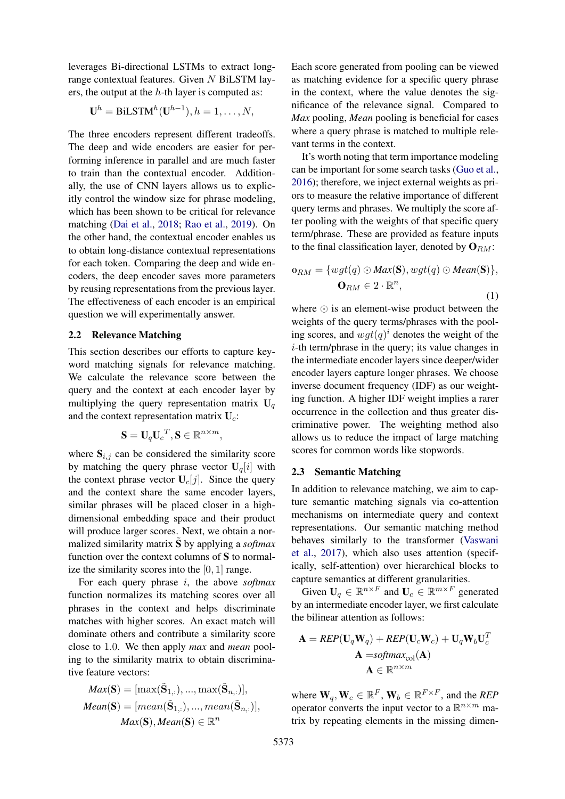leverages Bi-directional LSTMs to extract longrange contextual features. Given N BiLSTM layers, the output at the  $h$ -th layer is computed as:

$$
\mathbf{U}^h = \text{BiLSTM}^h(\mathbf{U}^{h-1}), h = 1, \dots, N,
$$

The three encoders represent different tradeoffs. The deep and wide encoders are easier for performing inference in parallel and are much faster to train than the contextual encoder. Additionally, the use of CNN layers allows us to explicitly control the window size for phrase modeling, which has been shown to be critical for relevance matching [\(Dai et al.,](#page-9-6) [2018;](#page-9-6) [Rao et al.,](#page-10-4) [2019\)](#page-10-4). On the other hand, the contextual encoder enables us to obtain long-distance contextual representations for each token. Comparing the deep and wide encoders, the deep encoder saves more parameters by reusing representations from the previous layer. The effectiveness of each encoder is an empirical question we will experimentally answer.

#### <span id="page-3-0"></span>2.2 Relevance Matching

This section describes our efforts to capture keyword matching signals for relevance matching. We calculate the relevance score between the query and the context at each encoder layer by multiplying the query representation matrix  $U_q$ and the context representation matrix  $U_c$ :

$$
\mathbf{S} = \mathbf{U}_q \mathbf{U}_c^T, \mathbf{S} \in \mathbb{R}^{n \times m},
$$

where  $S_{i,j}$  can be considered the similarity score by matching the query phrase vector  $U_q[i]$  with the context phrase vector  $U_c[j]$ . Since the query and the context share the same encoder layers, similar phrases will be placed closer in a highdimensional embedding space and their product will produce larger scores. Next, we obtain a normalized similarity matrix  $\tilde{S}$  by applying a *softmax* function over the context columns of S to normalize the similarity scores into the [0, 1] range.

For each query phrase i, the above *softmax* function normalizes its matching scores over all phrases in the context and helps discriminate matches with higher scores. An exact match will dominate others and contribute a similarity score close to 1.0. We then apply *max* and *mean* pooling to the similarity matrix to obtain discriminative feature vectors:

$$
Max(\mathbf{S}) = [\max(\tilde{\mathbf{S}}_{1,:}), ..., \max(\tilde{\mathbf{S}}_{n,:})],
$$
  

$$
Mean(\mathbf{S}) = [mean(\tilde{\mathbf{S}}_{1,:}), ..., mean(\tilde{\mathbf{S}}_{n,:})],
$$
  

$$
Max(\mathbf{S}), Mean(\mathbf{S}) \in \mathbb{R}^n
$$

Each score generated from pooling can be viewed as matching evidence for a specific query phrase in the context, where the value denotes the significance of the relevance signal. Compared to *Max* pooling, *Mean* pooling is beneficial for cases where a query phrase is matched to multiple relevant terms in the context.

It's worth noting that term importance modeling can be important for some search tasks [\(Guo et al.,](#page-9-3) [2016\)](#page-9-3); therefore, we inject external weights as priors to measure the relative importance of different query terms and phrases. We multiply the score after pooling with the weights of that specific query term/phrase. These are provided as feature inputs to the final classification layer, denoted by  $\mathbf{O}_{RM}$ :

<span id="page-3-2"></span>
$$
\mathbf{o}_{RM} = \{ wgt(q) \odot Max(\mathbf{S}), wgt(q) \odot Mean(\mathbf{S}) \},\
$$

$$
\mathbf{O}_{RM} \in 2 \cdot \mathbb{R}^n,
$$
 (1)

where  $\odot$  is an element-wise product between the weights of the query terms/phrases with the pooling scores, and  $wgt(q)^i$  denotes the weight of the i-th term/phrase in the query; its value changes in the intermediate encoder layers since deeper/wider encoder layers capture longer phrases. We choose inverse document frequency (IDF) as our weighting function. A higher IDF weight implies a rarer occurrence in the collection and thus greater discriminative power. The weighting method also allows us to reduce the impact of large matching scores for common words like stopwords.

#### <span id="page-3-1"></span>2.3 Semantic Matching

In addition to relevance matching, we aim to capture semantic matching signals via co-attention mechanisms on intermediate query and context representations. Our semantic matching method behaves similarly to the transformer [\(Vaswani](#page-10-5) [et al.,](#page-10-5) [2017\)](#page-10-5), which also uses attention (specifically, self-attention) over hierarchical blocks to capture semantics at different granularities.

Given  $\mathbf{U}_q \in \mathbb{R}^{n \times F}$  and  $\mathbf{U}_c \in \mathbb{R}^{m \times F}$  generated by an intermediate encoder layer, we first calculate the bilinear attention as follows:

$$
\mathbf{A} = \text{REP}(\mathbf{U}_q \mathbf{W}_q) + \text{REP}(\mathbf{U}_c \mathbf{W}_c) + \mathbf{U}_q \mathbf{W}_b \mathbf{U}_c^T
$$

$$
\mathbf{A} = \text{softmax}_{\text{col}}(\mathbf{A})
$$

$$
\mathbf{A} \in \mathbb{R}^{n \times m}
$$

where  $W_q, W_c \in \mathbb{R}^F, W_b \in \mathbb{R}^{F \times F}$ , and the *REP* operator converts the input vector to a  $\mathbb{R}^{n \times m}$  matrix by repeating elements in the missing dimen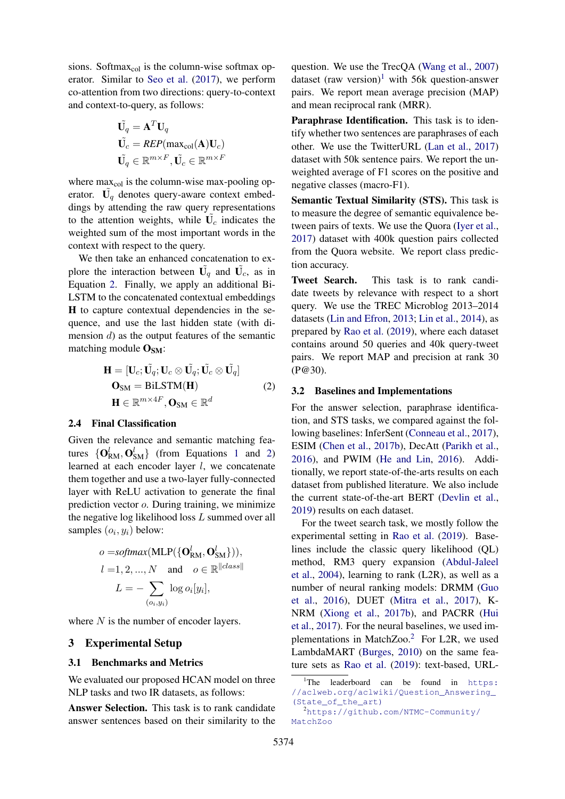sions. Softmax $_{\text{col}}$  is the column-wise softmax operator. Similar to [Seo et al.](#page-10-2) [\(2017\)](#page-10-2), we perform co-attention from two directions: query-to-context and context-to-query, as follows:

$$
\begin{aligned}\n\tilde{\mathbf{U}}_q &= \mathbf{A}^T \mathbf{U}_q\\ \n\tilde{\mathbf{U}}_c &= REP(\max_{\text{col}}(\mathbf{A})\mathbf{U}_c)\\ \n\tilde{\mathbf{U}}_q &\in \mathbb{R}^{m \times F}, \tilde{\mathbf{U}}_c \in \mathbb{R}^{m \times F}\n\end{aligned}
$$

where  $max_{col}$  is the column-wise max-pooling operator.  $\tilde{U_q}$  denotes query-aware context embeddings by attending the raw query representations to the attention weights, while  $\tilde{U_c}$  indicates the weighted sum of the most important words in the context with respect to the query.

We then take an enhanced concatenation to explore the interaction between  $\tilde{\mathbf{U}}_q$  and  $\tilde{\mathbf{U}}_c$ , as in Equation [2.](#page-4-0) Finally, we apply an additional Bi-LSTM to the concatenated contextual embeddings H to capture contextual dependencies in the sequence, and use the last hidden state (with dimension  $d$ ) as the output features of the semantic matching module  $O<sub>SM</sub>$ :

<span id="page-4-0"></span>
$$
\mathbf{H} = [\mathbf{U}_c; \tilde{\mathbf{U}_q}; \mathbf{U}_c \otimes \tilde{\mathbf{U}_q}; \tilde{\mathbf{U}_c} \otimes \tilde{\mathbf{U}_q}]
$$
  
\n
$$
\mathbf{O}_{SM} = \text{BiLSTM}(\mathbf{H})
$$
  
\n
$$
\mathbf{H} \in \mathbb{R}^{m \times 4F}, \mathbf{O}_{SM} \in \mathbb{R}^d
$$
 (2)

#### 2.4 Final Classification

Given the relevance and semantic matching features  $\{O_{\text{RM}}^l, O_{\text{SM}}^l\}$  (from Equations [1](#page-3-2) and [2\)](#page-4-0) learned at each encoder layer l, we concatenate them together and use a two-layer fully-connected layer with ReLU activation to generate the final prediction vector o. During training, we minimize the negative log likelihood loss  $L$  summed over all samples  $(o_i, y_i)$  below:

$$
o = softmax(\text{MLP}(\{\mathbf{O}_{\text{RM}}^l, \mathbf{O}_{\text{SM}}^l\})),
$$
  
\n
$$
l = 1, 2, ..., N \text{ and } o \in \mathbb{R}^{\|class\|}
$$
  
\n
$$
L = -\sum_{(o_i, y_i)} log o_i[y_i],
$$

where  $N$  is the number of encoder layers.

#### 3 Experimental Setup

#### 3.1 Benchmarks and Metrics

We evaluated our proposed HCAN model on three NLP tasks and two IR datasets, as follows:

Answer Selection. This task is to rank candidate answer sentences based on their similarity to the

question. We use the TrecQA [\(Wang et al.,](#page-10-6) [2007\)](#page-10-6) dataset (raw version)<sup>[1](#page-4-1)</sup> with 56k question-answer pairs. We report mean average precision (MAP) and mean reciprocal rank (MRR).

Paraphrase Identification. This task is to identify whether two sentences are paraphrases of each other. We use the TwitterURL [\(Lan et al.,](#page-9-7) [2017\)](#page-9-7) dataset with 50k sentence pairs. We report the unweighted average of F1 scores on the positive and negative classes (macro-F1).

Semantic Textual Similarity (STS). This task is to measure the degree of semantic equivalence between pairs of texts. We use the Quora [\(Iyer et al.,](#page-9-8) [2017\)](#page-9-8) dataset with 400k question pairs collected from the Quora website. We report class prediction accuracy.

Tweet Search. This task is to rank candidate tweets by relevance with respect to a short query. We use the TREC Microblog 2013–2014 datasets [\(Lin and Efron,](#page-9-9) [2013;](#page-9-9) [Lin et al.,](#page-10-7) [2014\)](#page-10-7), as prepared by [Rao et al.](#page-10-4) [\(2019\)](#page-10-4), where each dataset contains around 50 queries and 40k query-tweet pairs. We report MAP and precision at rank 30 (P@30).

#### 3.2 Baselines and Implementations

For the answer selection, paraphrase identification, and STS tasks, we compared against the following baselines: InferSent [\(Conneau et al.,](#page-9-10) [2017\)](#page-9-10), ESIM [\(Chen et al.,](#page-9-11) [2017b\)](#page-9-11), DecAtt [\(Parikh et al.,](#page-10-8) [2016\)](#page-10-8), and PWIM [\(He and Lin,](#page-9-1) [2016\)](#page-9-1). Additionally, we report state-of-the-arts results on each dataset from published literature. We also include the current state-of-the-art BERT [\(Devlin et al.,](#page-9-12) [2019\)](#page-9-12) results on each dataset.

For the tweet search task, we mostly follow the experimental setting in [Rao et al.](#page-10-4) [\(2019\)](#page-10-4). Baselines include the classic query likelihood (QL) method, RM3 query expansion [\(Abdul-Jaleel](#page-9-13) [et al.,](#page-9-13) [2004\)](#page-9-13), learning to rank (L2R), as well as a number of neural ranking models: DRMM [\(Guo](#page-9-3) [et al.,](#page-9-3) [2016\)](#page-9-3), DUET [\(Mitra et al.,](#page-10-9) [2017\)](#page-10-9), K-NRM [\(Xiong et al.,](#page-10-10) [2017b\)](#page-10-10), and PACRR [\(Hui](#page-9-14) [et al.,](#page-9-14) [2017\)](#page-9-14). For the neural baselines, we used im-plementations in MatchZoo.<sup>[2](#page-4-2)</sup> For L2R, we used LambdaMART [\(Burges,](#page-9-15) [2010\)](#page-9-15) on the same feature sets as [Rao et al.](#page-10-4) [\(2019\)](#page-10-4): text-based, URL-

<span id="page-4-1"></span> ${}^{1}$ The leaderboard can be found in [https:](https://aclweb.org/aclwiki/Question_Answering_(State_of_the_art)) [//aclweb.org/aclwiki/Question\\_Answering\\_](https://aclweb.org/aclwiki/Question_Answering_(State_of_the_art)) [\(State\\_of\\_the\\_art\)](https://aclweb.org/aclwiki/Question_Answering_(State_of_the_art))

<span id="page-4-2"></span><sup>2</sup>[https://github.com/NTMC-Community/](https://github.com/NTMC-Community/MatchZoo) [MatchZoo](https://github.com/NTMC-Community/MatchZoo)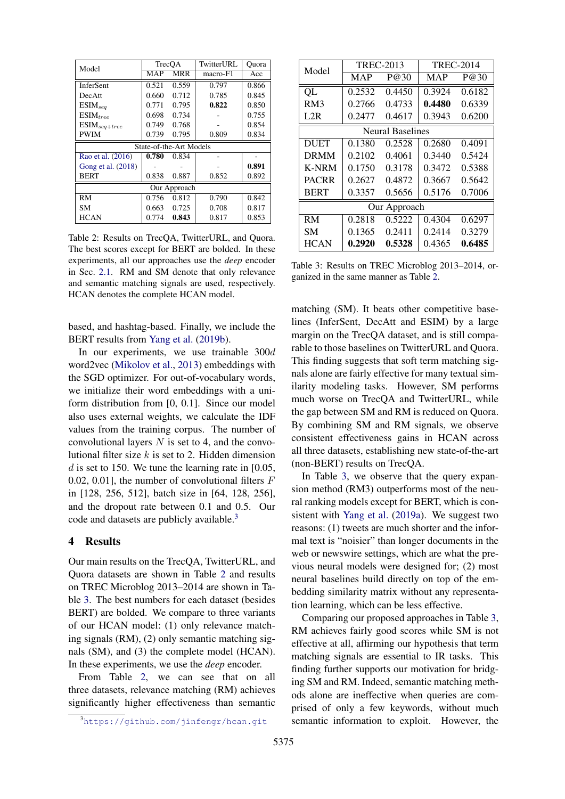<span id="page-5-1"></span>

| Model                               |            | TrecOA     | TwitterURL | Ouora |  |  |  |
|-------------------------------------|------------|------------|------------|-------|--|--|--|
|                                     | <b>MAP</b> | <b>MRR</b> | macro-F1   | Acc   |  |  |  |
| <b>InferSent</b>                    | 0.521      | 0.559      | 0.797      | 0.866 |  |  |  |
| DecAtt                              | 0.660      | 0.712      | 0.785      | 0.845 |  |  |  |
| $ESIM_{seq}$                        | 0.771      | 0.795      | 0.822      | 0.850 |  |  |  |
| $ESIM_{tree}$                       | 0.698      | 0.734      |            | 0.755 |  |  |  |
| $\mathrm{ESIM}_{\mathit{seq}+tree}$ | 0.749      | 0.768      |            | 0.854 |  |  |  |
| <b>PWIM</b>                         | 0.739      | 0.795      | 0.809      | 0.834 |  |  |  |
| State-of-the-Art Models             |            |            |            |       |  |  |  |
| Rao et al. (2016)                   | 0.780      | 0.834      |            |       |  |  |  |
| Gong et al. (2018)                  |            |            |            | 0.891 |  |  |  |
| <b>BERT</b>                         | 0.838      | 0.887      | 0.852      | 0.892 |  |  |  |
| Our Approach                        |            |            |            |       |  |  |  |
| <b>RM</b>                           | 0.756      | 0.812      | 0.790      | 0.842 |  |  |  |
| SМ                                  | 0.663      | 0.725      | 0.708      | 0.817 |  |  |  |
| <b>HCAN</b>                         | 0.774      | 0.843      | 0.817      | 0.853 |  |  |  |

Table 2: Results on TrecQA, TwitterURL, and Quora. The best scores except for BERT are bolded. In these experiments, all our approaches use the *deep* encoder in Sec. [2.1.](#page-2-1) RM and SM denote that only relevance and semantic matching signals are used, respectively. HCAN denotes the complete HCAN model.

based, and hashtag-based. Finally, we include the BERT results from [Yang et al.](#page-11-0) [\(2019b\)](#page-11-0).

In our experiments, we use trainable 300d word2vec [\(Mikolov et al.,](#page-10-11) [2013\)](#page-10-11) embeddings with the SGD optimizer. For out-of-vocabulary words, we initialize their word embeddings with a uniform distribution from [0, 0.1]. Since our model also uses external weights, we calculate the IDF values from the training corpus. The number of convolutional layers  $N$  is set to 4, and the convolutional filter size  $k$  is set to 2. Hidden dimension d is set to 150. We tune the learning rate in  $[0.05,$ 0.02, 0.01], the number of convolutional filters  $F$ in [128, 256, 512], batch size in [64, 128, 256], and the dropout rate between 0.1 and 0.5. Our code and datasets are publicly available.<sup>[3](#page-5-0)</sup>

# 4 Results

Our main results on the TrecQA, TwitterURL, and Quora datasets are shown in Table [2](#page-5-1) and results on TREC Microblog 2013–2014 are shown in Table [3.](#page-5-2) The best numbers for each dataset (besides BERT) are bolded. We compare to three variants of our HCAN model: (1) only relevance matching signals (RM), (2) only semantic matching signals (SM), and (3) the complete model (HCAN). In these experiments, we use the *deep* encoder.

From Table [2,](#page-5-1) we can see that on all three datasets, relevance matching (RM) achieves significantly higher effectiveness than semantic

<span id="page-5-2"></span>

| Model                   |        | <b>TREC-2013</b> | <b>TREC-2014</b> |        |  |  |  |  |
|-------------------------|--------|------------------|------------------|--------|--|--|--|--|
|                         | MAP    | P@30             | <b>MAP</b>       | P@30   |  |  |  |  |
| QL                      | 0.2532 | 0.4450           | 0.3924           | 0.6182 |  |  |  |  |
| RM3                     | 0.2766 | 0.4733           | 0.4480           | 0.6339 |  |  |  |  |
| L2R                     | 0.2477 | 0.4617           | 0.3943           | 0.6200 |  |  |  |  |
| <b>Neural Baselines</b> |        |                  |                  |        |  |  |  |  |
| <b>DUET</b>             | 0.1380 | 0.2528           | 0.2680           | 0.4091 |  |  |  |  |
| <b>DRMM</b>             | 0.2102 | 0.4061           | 0.3440           | 0.5424 |  |  |  |  |
| <b>K-NRM</b>            | 0.1750 | 0.3178           | 0.3472           | 0.5388 |  |  |  |  |
| <b>PACRR</b>            | 0.2627 | 0.4872           | 0.3667           | 0.5642 |  |  |  |  |
| <b>BERT</b>             | 0.3357 | 0.5656           | 0.5176           | 0.7006 |  |  |  |  |
| Our Approach            |        |                  |                  |        |  |  |  |  |
| RM                      | 0.2818 | 0.5222           | 0.4304           | 0.6297 |  |  |  |  |
| SМ                      | 0.1365 | 0.2411           | 0.2414           | 0.3279 |  |  |  |  |
| <b>HCAN</b>             | 0.2920 | 0.5328           | 0.4365           | 0.6485 |  |  |  |  |

Table 3: Results on TREC Microblog 2013–2014, organized in the same manner as Table [2.](#page-5-1)

matching (SM). It beats other competitive baselines (InferSent, DecAtt and ESIM) by a large margin on the TrecQA dataset, and is still comparable to those baselines on TwitterURL and Quora. This finding suggests that soft term matching signals alone are fairly effective for many textual similarity modeling tasks. However, SM performs much worse on TrecQA and TwitterURL, while the gap between SM and RM is reduced on Quora. By combining SM and RM signals, we observe consistent effectiveness gains in HCAN across all three datasets, establishing new state-of-the-art (non-BERT) results on TrecQA.

In Table [3,](#page-5-2) we observe that the query expansion method (RM3) outperforms most of the neural ranking models except for BERT, which is consistent with [Yang et al.](#page-11-1) [\(2019a\)](#page-11-1). We suggest two reasons: (1) tweets are much shorter and the informal text is "noisier" than longer documents in the web or newswire settings, which are what the previous neural models were designed for; (2) most neural baselines build directly on top of the embedding similarity matrix without any representation learning, which can be less effective.

Comparing our proposed approaches in Table [3,](#page-5-2) RM achieves fairly good scores while SM is not effective at all, affirming our hypothesis that term matching signals are essential to IR tasks. This finding further supports our motivation for bridging SM and RM. Indeed, semantic matching methods alone are ineffective when queries are comprised of only a few keywords, without much semantic information to exploit. However, the

<span id="page-5-0"></span><sup>3</sup><https://github.com/jinfengr/hcan.git>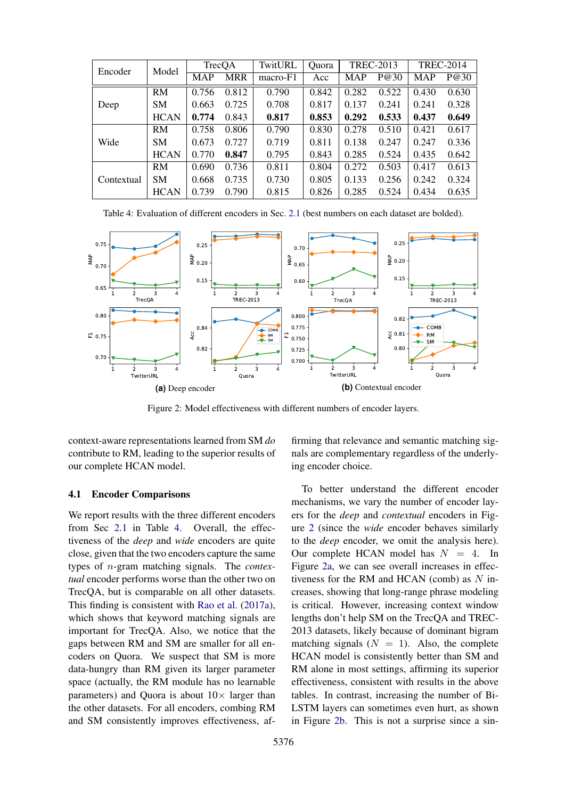<span id="page-6-0"></span>

| Encoder    | Model       | TrecQA     |            | TwitURL  | <b>Ouora</b> | <b>TREC-2013</b> |       | <b>TREC-2014</b> |       |
|------------|-------------|------------|------------|----------|--------------|------------------|-------|------------------|-------|
|            |             | <b>MAP</b> | <b>MRR</b> | macro-F1 | Acc          | <b>MAP</b>       | P@30  | <b>MAP</b>       | P@30  |
|            | RM          | 0.756      | 0.812      | 0.790    | 0.842        | 0.282            | 0.522 | 0.430            | 0.630 |
| Deep       | <b>SM</b>   | 0.663      | 0.725      | 0.708    | 0.817        | 0.137            | 0.241 | 0.241            | 0.328 |
|            | <b>HCAN</b> | 0.774      | 0.843      | 0.817    | 0.853        | 0.292            | 0.533 | 0.437            | 0.649 |
| Wide       | <b>RM</b>   | 0.758      | 0.806      | 0.790    | 0.830        | 0.278            | 0.510 | 0.421            | 0.617 |
|            | <b>SM</b>   | 0.673      | 0.727      | 0.719    | 0.811        | 0.138            | 0.247 | 0.247            | 0.336 |
|            | <b>HCAN</b> | 0.770      | 0.847      | 0.795    | 0.843        | 0.285            | 0.524 | 0.435            | 0.642 |
| Contextual | RM          | 0.690      | 0.736      | 0.811    | 0.804        | 0.272            | 0.503 | 0.417            | 0.613 |
|            | <b>SM</b>   | 0.668      | 0.735      | 0.730    | 0.805        | 0.133            | 0.256 | 0.242            | 0.324 |
|            | <b>HCAN</b> | 0.739      | 0.790      | 0.815    | 0.826        | 0.285            | 0.524 | 0.434            | 0.635 |

Table 4: Evaluation of different encoders in Sec. [2.1](#page-2-1) (best numbers on each dataset are bolded).

<span id="page-6-1"></span>

Figure 2: Model effectiveness with different numbers of encoder layers.

context-aware representations learned from SM *do* contribute to RM, leading to the superior results of our complete HCAN model.

#### 4.1 Encoder Comparisons

We report results with the three different encoders from Sec [2.1](#page-2-1) in Table [4.](#page-6-0) Overall, the effectiveness of the *deep* and *wide* encoders are quite close, given that the two encoders capture the same types of n-gram matching signals. The *contextual* encoder performs worse than the other two on TrecQA, but is comparable on all other datasets. This finding is consistent with [Rao et al.](#page-10-12) [\(2017a\)](#page-10-12), which shows that keyword matching signals are important for TrecQA. Also, we notice that the gaps between RM and SM are smaller for all encoders on Quora. We suspect that SM is more data-hungry than RM given its larger parameter space (actually, the RM module has no learnable parameters) and Quora is about  $10\times$  larger than the other datasets. For all encoders, combing RM and SM consistently improves effectiveness, affirming that relevance and semantic matching signals are complementary regardless of the underlying encoder choice.

To better understand the different encoder mechanisms, we vary the number of encoder layers for the *deep* and *contextual* encoders in Figure [2](#page-6-1) (since the *wide* encoder behaves similarly to the *deep* encoder, we omit the analysis here). Our complete HCAN model has  $N = 4$ . In Figure [2a,](#page-6-1) we can see overall increases in effectiveness for the RM and HCAN (comb) as  $N$  increases, showing that long-range phrase modeling is critical. However, increasing context window lengths don't help SM on the TrecQA and TREC-2013 datasets, likely because of dominant bigram matching signals  $(N = 1)$ . Also, the complete HCAN model is consistently better than SM and RM alone in most settings, affirming its superior effectiveness, consistent with results in the above tables. In contrast, increasing the number of Bi-LSTM layers can sometimes even hurt, as shown in Figure [2b.](#page-6-1) This is not a surprise since a sin-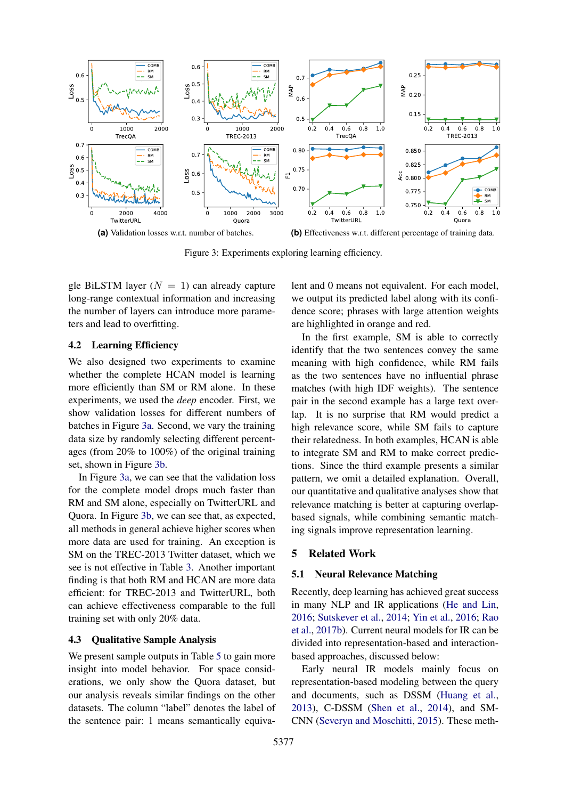<span id="page-7-0"></span>

Figure 3: Experiments exploring learning efficiency.

gle BiLSTM layer  $(N = 1)$  can already capture long-range contextual information and increasing the number of layers can introduce more parameters and lead to overfitting.

#### 4.2 Learning Efficiency

We also designed two experiments to examine whether the complete HCAN model is learning more efficiently than SM or RM alone. In these experiments, we used the *deep* encoder. First, we show validation losses for different numbers of batches in Figure [3a.](#page-7-0) Second, we vary the training data size by randomly selecting different percentages (from 20% to 100%) of the original training set, shown in Figure [3b.](#page-7-0)

In Figure [3a,](#page-7-0) we can see that the validation loss for the complete model drops much faster than RM and SM alone, especially on TwitterURL and Quora. In Figure [3b,](#page-7-0) we can see that, as expected, all methods in general achieve higher scores when more data are used for training. An exception is SM on the TREC-2013 Twitter dataset, which we see is not effective in Table [3.](#page-5-2) Another important finding is that both RM and HCAN are more data efficient: for TREC-2013 and TwitterURL, both can achieve effectiveness comparable to the full training set with only 20% data.

# 4.3 Qualitative Sample Analysis

We present sample outputs in Table [5](#page-8-0) to gain more insight into model behavior. For space considerations, we only show the Quora dataset, but our analysis reveals similar findings on the other datasets. The column "label" denotes the label of the sentence pair: 1 means semantically equivalent and 0 means not equivalent. For each model, we output its predicted label along with its confidence score; phrases with large attention weights are highlighted in orange and red.

In the first example, SM is able to correctly identify that the two sentences convey the same meaning with high confidence, while RM fails as the two sentences have no influential phrase matches (with high IDF weights). The sentence pair in the second example has a large text overlap. It is no surprise that RM would predict a high relevance score, while SM fails to capture their relatedness. In both examples, HCAN is able to integrate SM and RM to make correct predictions. Since the third example presents a similar pattern, we omit a detailed explanation. Overall, our quantitative and qualitative analyses show that relevance matching is better at capturing overlapbased signals, while combining semantic matching signals improve representation learning.

# 5 Related Work

#### 5.1 Neural Relevance Matching

Recently, deep learning has achieved great success in many NLP and IR applications [\(He and Lin,](#page-9-1) [2016;](#page-9-1) [Sutskever et al.,](#page-10-13) [2014;](#page-10-13) [Yin et al.,](#page-11-2) [2016;](#page-11-2) [Rao](#page-10-14) [et al.,](#page-10-14) [2017b\)](#page-10-14). Current neural models for IR can be divided into representation-based and interactionbased approaches, discussed below:

Early neural IR models mainly focus on representation-based modeling between the query and documents, such as DSSM [\(Huang et al.,](#page-9-17) [2013\)](#page-9-17), C-DSSM [\(Shen et al.,](#page-10-15) [2014\)](#page-10-15), and SM-CNN [\(Severyn and Moschitti,](#page-10-16) [2015\)](#page-10-16). These meth-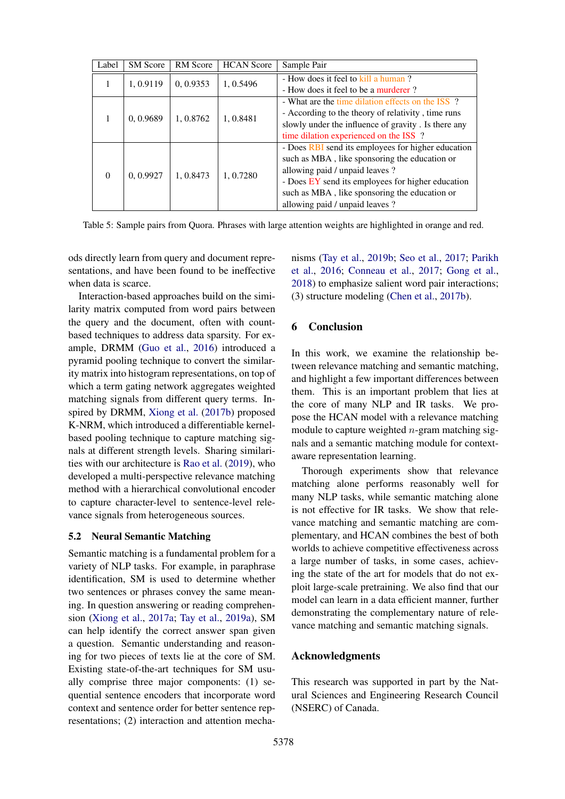<span id="page-8-0"></span>

| Label    | <b>SM</b> Score | <b>RM</b> Score | <b>HCAN</b> Score | Sample Pair                                         |
|----------|-----------------|-----------------|-------------------|-----------------------------------------------------|
|          | 1,0.9119        | 0, 0.9353       | 1, 0.5496         | - How does it feel to kill a human?                 |
|          |                 |                 |                   | - How does it feel to be a murderer?                |
|          |                 | 1, 0.8762       | 1, 0.8481         | - What are the time dilation effects on the ISS ?   |
|          | 0, 0.9689       |                 |                   | - According to the theory of relativity, time runs  |
|          |                 |                 |                   | slowly under the influence of gravity. Is there any |
|          |                 |                 |                   | time dilation experienced on the ISS ?              |
| $\Omega$ |                 | 1, 0.8473       | 1, 0.7280         | - Does RBI send its employees for higher education  |
|          |                 |                 |                   | such as MBA, like sponsoring the education or       |
|          | 0.0.9927        |                 |                   | allowing paid / unpaid leaves ?                     |
|          |                 |                 |                   | - Does EY send its employees for higher education   |
|          |                 |                 |                   | such as MBA, like sponsoring the education or       |
|          |                 |                 |                   | allowing paid / unpaid leaves ?                     |

Table 5: Sample pairs from Quora. Phrases with large attention weights are highlighted in orange and red.

ods directly learn from query and document representations, and have been found to be ineffective when data is scarce.

Interaction-based approaches build on the similarity matrix computed from word pairs between the query and the document, often with countbased techniques to address data sparsity. For example, DRMM [\(Guo et al.,](#page-9-3) [2016\)](#page-9-3) introduced a pyramid pooling technique to convert the similarity matrix into histogram representations, on top of which a term gating network aggregates weighted matching signals from different query terms. Inspired by DRMM, [Xiong et al.](#page-10-10) [\(2017b\)](#page-10-10) proposed K-NRM, which introduced a differentiable kernelbased pooling technique to capture matching signals at different strength levels. Sharing similarities with our architecture is [Rao et al.](#page-10-4) [\(2019\)](#page-10-4), who developed a multi-perspective relevance matching method with a hierarchical convolutional encoder to capture character-level to sentence-level relevance signals from heterogeneous sources.

# 5.2 Neural Semantic Matching

Semantic matching is a fundamental problem for a variety of NLP tasks. For example, in paraphrase identification, SM is used to determine whether two sentences or phrases convey the same meaning. In question answering or reading comprehension [\(Xiong et al.,](#page-10-17) [2017a;](#page-10-17) [Tay et al.,](#page-10-18) [2019a\)](#page-10-18), SM can help identify the correct answer span given a question. Semantic understanding and reasoning for two pieces of texts lie at the core of SM. Existing state-of-the-art techniques for SM usually comprise three major components: (1) sequential sentence encoders that incorporate word context and sentence order for better sentence representations; (2) interaction and attention mecha-

nisms [\(Tay et al.,](#page-10-3) [2019b;](#page-10-3) [Seo et al.,](#page-10-2) [2017;](#page-10-2) [Parikh](#page-10-8) [et al.,](#page-10-8) [2016;](#page-10-8) [Conneau et al.,](#page-9-10) [2017;](#page-9-10) [Gong et al.,](#page-9-16) [2018\)](#page-9-16) to emphasize salient word pair interactions; (3) structure modeling [\(Chen et al.,](#page-9-11) [2017b\)](#page-9-11).

# 6 Conclusion

In this work, we examine the relationship between relevance matching and semantic matching, and highlight a few important differences between them. This is an important problem that lies at the core of many NLP and IR tasks. We propose the HCAN model with a relevance matching module to capture weighted  $n$ -gram matching signals and a semantic matching module for contextaware representation learning.

Thorough experiments show that relevance matching alone performs reasonably well for many NLP tasks, while semantic matching alone is not effective for IR tasks. We show that relevance matching and semantic matching are complementary, and HCAN combines the best of both worlds to achieve competitive effectiveness across a large number of tasks, in some cases, achieving the state of the art for models that do not exploit large-scale pretraining. We also find that our model can learn in a data efficient manner, further demonstrating the complementary nature of relevance matching and semantic matching signals.

# Acknowledgments

This research was supported in part by the Natural Sciences and Engineering Research Council (NSERC) of Canada.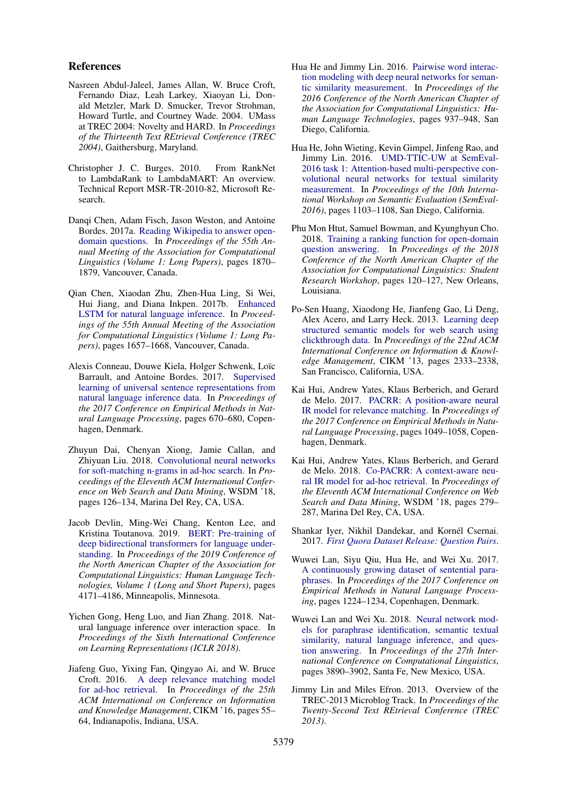#### References

- <span id="page-9-13"></span>Nasreen Abdul-Jaleel, James Allan, W. Bruce Croft, Fernando Diaz, Leah Larkey, Xiaoyan Li, Donald Metzler, Mark D. Smucker, Trevor Strohman, Howard Turtle, and Courtney Wade. 2004. UMass at TREC 2004: Novelty and HARD. In *Proceedings of the Thirteenth Text REtrieval Conference (TREC 2004)*, Gaithersburg, Maryland.
- <span id="page-9-15"></span>Christopher J. C. Burges. 2010. From RankNet to LambdaRank to LambdaMART: An overview. Technical Report MSR-TR-2010-82, Microsoft Research.
- <span id="page-9-0"></span>Danqi Chen, Adam Fisch, Jason Weston, and Antoine Bordes. 2017a. [Reading Wikipedia to answer open](https://doi.org/10.18653/v1/P17-1171)[domain questions.](https://doi.org/10.18653/v1/P17-1171) In *Proceedings of the 55th Annual Meeting of the Association for Computational Linguistics (Volume 1: Long Papers)*, pages 1870– 1879, Vancouver, Canada.
- <span id="page-9-11"></span>Qian Chen, Xiaodan Zhu, Zhen-Hua Ling, Si Wei, Hui Jiang, and Diana Inkpen. 2017b. [Enhanced](https://doi.org/10.18653/v1/P17-1152) [LSTM for natural language inference.](https://doi.org/10.18653/v1/P17-1152) In *Proceedings of the 55th Annual Meeting of the Association for Computational Linguistics (Volume 1: Long Papers)*, pages 1657–1668, Vancouver, Canada.
- <span id="page-9-10"></span>Alexis Conneau, Douwe Kiela, Holger Schwenk, Loïc Barrault, and Antoine Bordes. 2017. [Supervised](https://doi.org/10.18653/v1/D17-1070) [learning of universal sentence representations from](https://doi.org/10.18653/v1/D17-1070) [natural language inference data.](https://doi.org/10.18653/v1/D17-1070) In *Proceedings of the 2017 Conference on Empirical Methods in Natural Language Processing*, pages 670–680, Copenhagen, Denmark.
- <span id="page-9-6"></span>Zhuyun Dai, Chenyan Xiong, Jamie Callan, and Zhiyuan Liu. 2018. [Convolutional neural networks](https://doi.org/10.1145/3159652.3159659) [for soft-matching n-grams in ad-hoc search.](https://doi.org/10.1145/3159652.3159659) In *Proceedings of the Eleventh ACM International Conference on Web Search and Data Mining*, WSDM '18, pages 126–134, Marina Del Rey, CA, USA.
- <span id="page-9-12"></span>Jacob Devlin, Ming-Wei Chang, Kenton Lee, and Kristina Toutanova. 2019. [BERT: Pre-training of](https://doi.org/10.18653/v1/N19-1423) [deep bidirectional transformers for language under](https://doi.org/10.18653/v1/N19-1423)[standing.](https://doi.org/10.18653/v1/N19-1423) In *Proceedings of the 2019 Conference of the North American Chapter of the Association for Computational Linguistics: Human Language Technologies, Volume 1 (Long and Short Papers)*, pages 4171–4186, Minneapolis, Minnesota.
- <span id="page-9-16"></span>Yichen Gong, Heng Luo, and Jian Zhang. 2018. Natural language inference over interaction space. In *Proceedings of the Sixth International Conference on Learning Representations (ICLR 2018)*.
- <span id="page-9-3"></span>Jiafeng Guo, Yixing Fan, Qingyao Ai, and W. Bruce Croft. 2016. [A deep relevance matching model](https://doi.org/10.1145/2983323.2983769) [for ad-hoc retrieval.](https://doi.org/10.1145/2983323.2983769) In *Proceedings of the 25th ACM International on Conference on Information and Knowledge Management*, CIKM '16, pages 55– 64, Indianapolis, Indiana, USA.
- <span id="page-9-1"></span>Hua He and Jimmy Lin. 2016. [Pairwise word interac](https://doi.org/10.18653/v1/N16-1108)[tion modeling with deep neural networks for seman](https://doi.org/10.18653/v1/N16-1108)[tic similarity measurement.](https://doi.org/10.18653/v1/N16-1108) In *Proceedings of the 2016 Conference of the North American Chapter of the Association for Computational Linguistics: Human Language Technologies*, pages 937–948, San Diego, California.
- <span id="page-9-2"></span>Hua He, John Wieting, Kevin Gimpel, Jinfeng Rao, and Jimmy Lin. 2016. [UMD-TTIC-UW at SemEval-](https://doi.org/10.18653/v1/S16-1170)[2016 task 1: Attention-based multi-perspective con](https://doi.org/10.18653/v1/S16-1170)[volutional neural networks for textual similarity](https://doi.org/10.18653/v1/S16-1170) [measurement.](https://doi.org/10.18653/v1/S16-1170) In *Proceedings of the 10th International Workshop on Semantic Evaluation (SemEval-2016)*, pages 1103–1108, San Diego, California.
- <span id="page-9-4"></span>Phu Mon Htut, Samuel Bowman, and Kyunghyun Cho. 2018. [Training a ranking function for open-domain](https://doi.org/10.18653/v1/N18-4017) [question answering.](https://doi.org/10.18653/v1/N18-4017) In *Proceedings of the 2018 Conference of the North American Chapter of the Association for Computational Linguistics: Student Research Workshop*, pages 120–127, New Orleans, Louisiana.
- <span id="page-9-17"></span>Po-Sen Huang, Xiaodong He, Jianfeng Gao, Li Deng, Alex Acero, and Larry Heck. 2013. [Learning deep](https://doi.org/10.1145/2505515.2505665) [structured semantic models for web search using](https://doi.org/10.1145/2505515.2505665) [clickthrough data.](https://doi.org/10.1145/2505515.2505665) In *Proceedings of the 22nd ACM International Conference on Information & Knowledge Management*, CIKM '13, pages 2333–2338, San Francisco, California, USA.
- <span id="page-9-14"></span>Kai Hui, Andrew Yates, Klaus Berberich, and Gerard de Melo. 2017. [PACRR: A position-aware neural](https://doi.org/10.18653/v1/D17-1110) [IR model for relevance matching.](https://doi.org/10.18653/v1/D17-1110) In *Proceedings of the 2017 Conference on Empirical Methods in Natural Language Processing*, pages 1049–1058, Copenhagen, Denmark.
- <span id="page-9-5"></span>Kai Hui, Andrew Yates, Klaus Berberich, and Gerard de Melo. 2018. [Co-PACRR: A context-aware neu](https://doi.org/10.1145/3159652.3159689)[ral IR model for ad-hoc retrieval.](https://doi.org/10.1145/3159652.3159689) In *Proceedings of the Eleventh ACM International Conference on Web Search and Data Mining*, WSDM '18, pages 279– 287, Marina Del Rey, CA, USA.
- <span id="page-9-8"></span>Shankar Iyer, Nikhil Dandekar, and Kornél Csernai. 2017. *[First Quora Dataset Release: Question Pairs](https://data.quora.com/First-Quora-Dataset-Release-Question-Pairs)*.
- <span id="page-9-7"></span>Wuwei Lan, Siyu Qiu, Hua He, and Wei Xu. 2017. [A continuously growing dataset of sentential para](https://doi.org/10.18653/v1/D17-1126)[phrases.](https://doi.org/10.18653/v1/D17-1126) In *Proceedings of the 2017 Conference on Empirical Methods in Natural Language Processing*, pages 1224–1234, Copenhagen, Denmark.
- Wuwei Lan and Wei Xu. 2018. [Neural network mod](https://www.aclweb.org/anthology/C18-1328)[els for paraphrase identification, semantic textual](https://www.aclweb.org/anthology/C18-1328) [similarity, natural language inference, and ques](https://www.aclweb.org/anthology/C18-1328)[tion answering.](https://www.aclweb.org/anthology/C18-1328) In *Proceedings of the 27th International Conference on Computational Linguistics*, pages 3890–3902, Santa Fe, New Mexico, USA.
- <span id="page-9-9"></span>Jimmy Lin and Miles Efron. 2013. Overview of the TREC-2013 Microblog Track. In *Proceedings of the Twenty-Second Text REtrieval Conference (TREC 2013)*.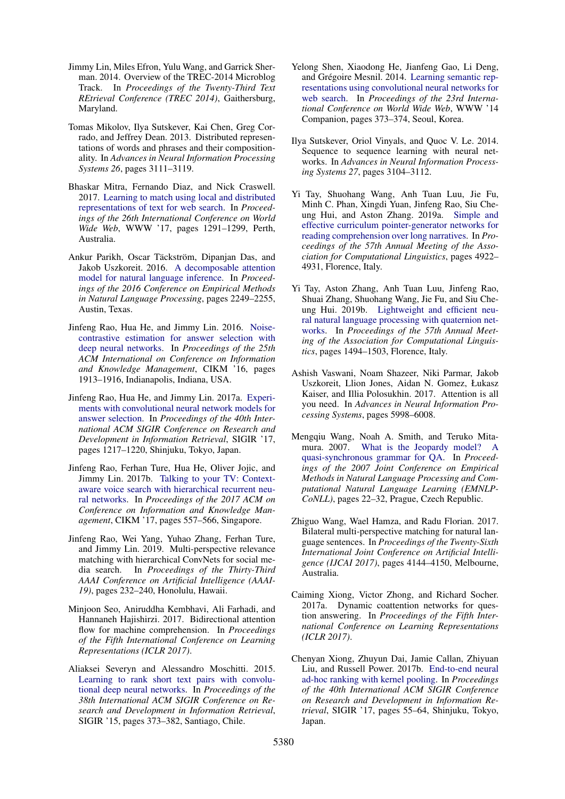- <span id="page-10-7"></span>Jimmy Lin, Miles Efron, Yulu Wang, and Garrick Sherman. 2014. Overview of the TREC-2014 Microblog Track. In *Proceedings of the Twenty-Third Text REtrieval Conference (TREC 2014)*, Gaithersburg, Maryland.
- <span id="page-10-11"></span>Tomas Mikolov, Ilya Sutskever, Kai Chen, Greg Corrado, and Jeffrey Dean. 2013. Distributed representations of words and phrases and their compositionality. In *Advances in Neural Information Processing Systems 26*, pages 3111–3119.
- <span id="page-10-9"></span>Bhaskar Mitra, Fernando Diaz, and Nick Craswell. 2017. [Learning to match using local and distributed](https://doi.org/10.1145/3038912.3052579) [representations of text for web search.](https://doi.org/10.1145/3038912.3052579) In *Proceedings of the 26th International Conference on World Wide Web*, WWW '17, pages 1291–1299, Perth, Australia.
- <span id="page-10-8"></span>Ankur Parikh, Oscar Täckström, Dipanjan Das, and Jakob Uszkoreit. 2016. [A decomposable attention](https://doi.org/10.18653/v1/D16-1244) [model for natural language inference.](https://doi.org/10.18653/v1/D16-1244) In *Proceedings of the 2016 Conference on Empirical Methods in Natural Language Processing*, pages 2249–2255, Austin, Texas.
- <span id="page-10-0"></span>Jinfeng Rao, Hua He, and Jimmy Lin. 2016. [Noise](https://doi.org/10.1145/2983323.2983872)[contrastive estimation for answer selection with](https://doi.org/10.1145/2983323.2983872) [deep neural networks.](https://doi.org/10.1145/2983323.2983872) In *Proceedings of the 25th ACM International on Conference on Information and Knowledge Management*, CIKM '16, pages 1913–1916, Indianapolis, Indiana, USA.
- <span id="page-10-12"></span>Jinfeng Rao, Hua He, and Jimmy Lin. 2017a. [Experi](https://doi.org/10.1145/3077136.3080648)[ments with convolutional neural network models for](https://doi.org/10.1145/3077136.3080648) [answer selection.](https://doi.org/10.1145/3077136.3080648) In *Proceedings of the 40th International ACM SIGIR Conference on Research and Development in Information Retrieval*, SIGIR '17, pages 1217–1220, Shinjuku, Tokyo, Japan.
- <span id="page-10-14"></span>Jinfeng Rao, Ferhan Ture, Hua He, Oliver Jojic, and Jimmy Lin. 2017b. [Talking to your TV: Context](https://doi.org/10.1145/3132847.3132893)[aware voice search with hierarchical recurrent neu](https://doi.org/10.1145/3132847.3132893)[ral networks.](https://doi.org/10.1145/3132847.3132893) In *Proceedings of the 2017 ACM on Conference on Information and Knowledge Management*, CIKM '17, pages 557–566, Singapore.
- <span id="page-10-4"></span>Jinfeng Rao, Wei Yang, Yuhao Zhang, Ferhan Ture, and Jimmy Lin. 2019. Multi-perspective relevance matching with hierarchical ConvNets for social media search. In *Proceedings of the Thirty-Third AAAI Conference on Artificial Intelligence (AAAI-19)*, pages 232–240, Honolulu, Hawaii.
- <span id="page-10-2"></span>Minjoon Seo, Aniruddha Kembhavi, Ali Farhadi, and Hannaneh Hajishirzi. 2017. Bidirectional attention flow for machine comprehension. In *Proceedings of the Fifth International Conference on Learning Representations (ICLR 2017)*.
- <span id="page-10-16"></span>Aliaksei Severyn and Alessandro Moschitti. 2015. [Learning to rank short text pairs with convolu](https://doi.org/10.1145/2766462.2767738)[tional deep neural networks.](https://doi.org/10.1145/2766462.2767738) In *Proceedings of the 38th International ACM SIGIR Conference on Research and Development in Information Retrieval*, SIGIR '15, pages 373–382, Santiago, Chile.
- <span id="page-10-15"></span>Yelong Shen, Xiaodong He, Jianfeng Gao, Li Deng, and Grégoire Mesnil. 2014. [Learning semantic rep](https://doi.org/10.1145/2567948.2577348)[resentations using convolutional neural networks for](https://doi.org/10.1145/2567948.2577348) [web search.](https://doi.org/10.1145/2567948.2577348) In *Proceedings of the 23rd International Conference on World Wide Web*, WWW '14 Companion, pages 373–374, Seoul, Korea.
- <span id="page-10-13"></span>Ilya Sutskever, Oriol Vinyals, and Quoc V. Le. 2014. Sequence to sequence learning with neural networks. In *Advances in Neural Information Processing Systems 27*, pages 3104–3112.
- <span id="page-10-18"></span>Yi Tay, Shuohang Wang, Anh Tuan Luu, Jie Fu, Minh C. Phan, Xingdi Yuan, Jinfeng Rao, Siu Cheung Hui, and Aston Zhang. 2019a. [Simple and](https://www.aclweb.org/anthology/P19-1486) [effective curriculum pointer-generator networks for](https://www.aclweb.org/anthology/P19-1486) [reading comprehension over long narratives.](https://www.aclweb.org/anthology/P19-1486) In *Proceedings of the 57th Annual Meeting of the Association for Computational Linguistics*, pages 4922– 4931, Florence, Italy.
- <span id="page-10-3"></span>Yi Tay, Aston Zhang, Anh Tuan Luu, Jinfeng Rao, Shuai Zhang, Shuohang Wang, Jie Fu, and Siu Cheung Hui. 2019b. [Lightweight and efficient neu](https://www.aclweb.org/anthology/P19-1145)[ral natural language processing with quaternion net](https://www.aclweb.org/anthology/P19-1145)[works.](https://www.aclweb.org/anthology/P19-1145) In *Proceedings of the 57th Annual Meeting of the Association for Computational Linguistics*, pages 1494–1503, Florence, Italy.
- <span id="page-10-5"></span>Ashish Vaswani, Noam Shazeer, Niki Parmar, Jakob Uszkoreit, Llion Jones, Aidan N. Gomez, Łukasz Kaiser, and Illia Polosukhin. 2017. Attention is all you need. In *Advances in Neural Information Processing Systems*, pages 5998–6008.
- <span id="page-10-6"></span>Mengqiu Wang, Noah A. Smith, and Teruko Mitamura. 2007. [What is the Jeopardy model? A](https://www.aclweb.org/anthology/D07-1003) [quasi-synchronous grammar for QA.](https://www.aclweb.org/anthology/D07-1003) In *Proceedings of the 2007 Joint Conference on Empirical Methods in Natural Language Processing and Computational Natural Language Learning (EMNLP-CoNLL)*, pages 22–32, Prague, Czech Republic.
- <span id="page-10-1"></span>Zhiguo Wang, Wael Hamza, and Radu Florian. 2017. Bilateral multi-perspective matching for natural language sentences. In *Proceedings of the Twenty-Sixth International Joint Conference on Artificial Intelligence (IJCAI 2017)*, pages 4144–4150, Melbourne, Australia.
- <span id="page-10-17"></span>Caiming Xiong, Victor Zhong, and Richard Socher. 2017a. Dynamic coattention networks for question answering. In *Proceedings of the Fifth International Conference on Learning Representations (ICLR 2017)*.
- <span id="page-10-10"></span>Chenyan Xiong, Zhuyun Dai, Jamie Callan, Zhiyuan Liu, and Russell Power. 2017b. [End-to-end neural](https://doi.org/10.1145/3077136.3080809) [ad-hoc ranking with kernel pooling.](https://doi.org/10.1145/3077136.3080809) In *Proceedings of the 40th International ACM SIGIR Conference on Research and Development in Information Retrieval*, SIGIR '17, pages 55–64, Shinjuku, Tokyo, Japan.